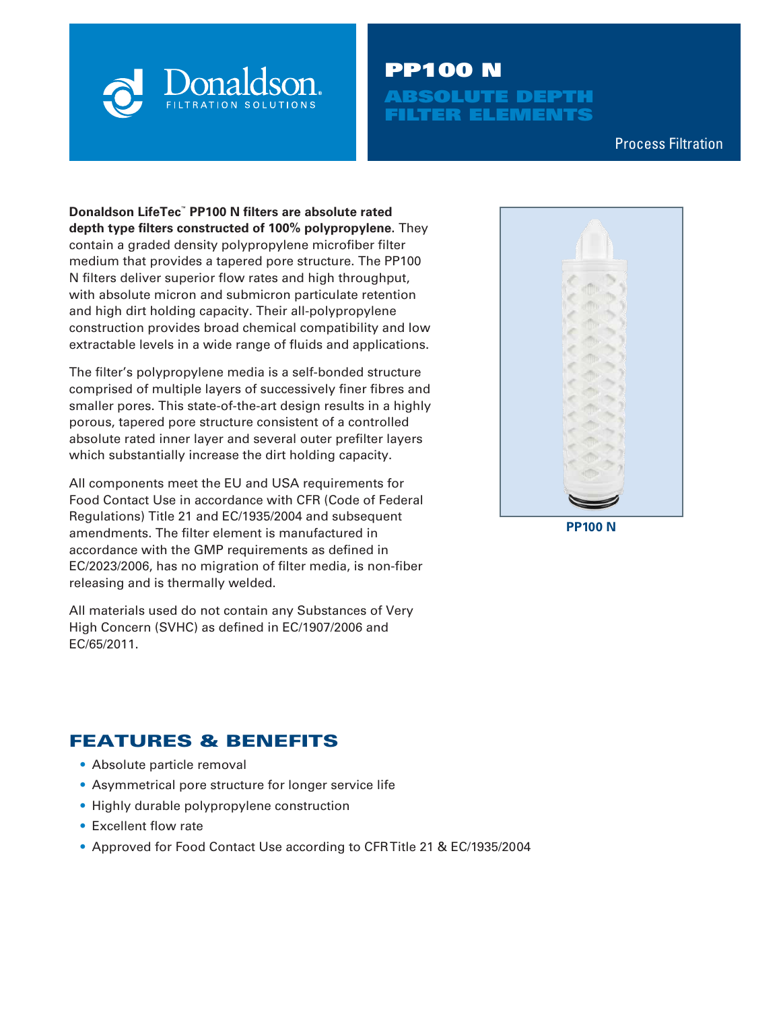

# PP100 N **BSOLUTE DEPTH** FILTER ELEMENTS

Process Filtration

**Donaldson LifeTec™ PP100 N filters are absolute rated depth type filters constructed of 100% polypropylene.** They contain a graded density polypropylene microfiber filter medium that provides a tapered pore structure. The PP100 N filters deliver superior flow rates and high throughput, with absolute micron and submicron particulate retention and high dirt holding capacity. Their all-polypropylene construction provides broad chemical compatibility and low extractable levels in a wide range of fluids and applications.

The filter's polypropylene media is a self-bonded structure comprised of multiple layers of successively finer fibres and smaller pores. This state-of-the-art design results in a highly porous, tapered pore structure consistent of a controlled absolute rated inner layer and several outer prefilter layers which substantially increase the dirt holding capacity.

All components meet the EU and USA requirements for Food Contact Use in accordance with CFR (Code of Federal Regulations) Title 21 and EC/1935/2004 and subsequent amendments. The filter element is manufactured in accordance with the GMP requirements as defined in EC/2023/2006, has no migration of filter media, is non-fiber releasing and is thermally welded.

All materials used do not contain any Substances of Very High Concern (SVHC) as defined in EC/1907/2006 and EC/65/2011.

# FEATURES & BENEFITS

- Absolute particle removal
- Asymmetrical pore structure for longer service life
- Highly durable polypropylene construction
- Excellent flow rate
- Approved for Food Contact Use according to CFR Title 21 & EC/1935/2004

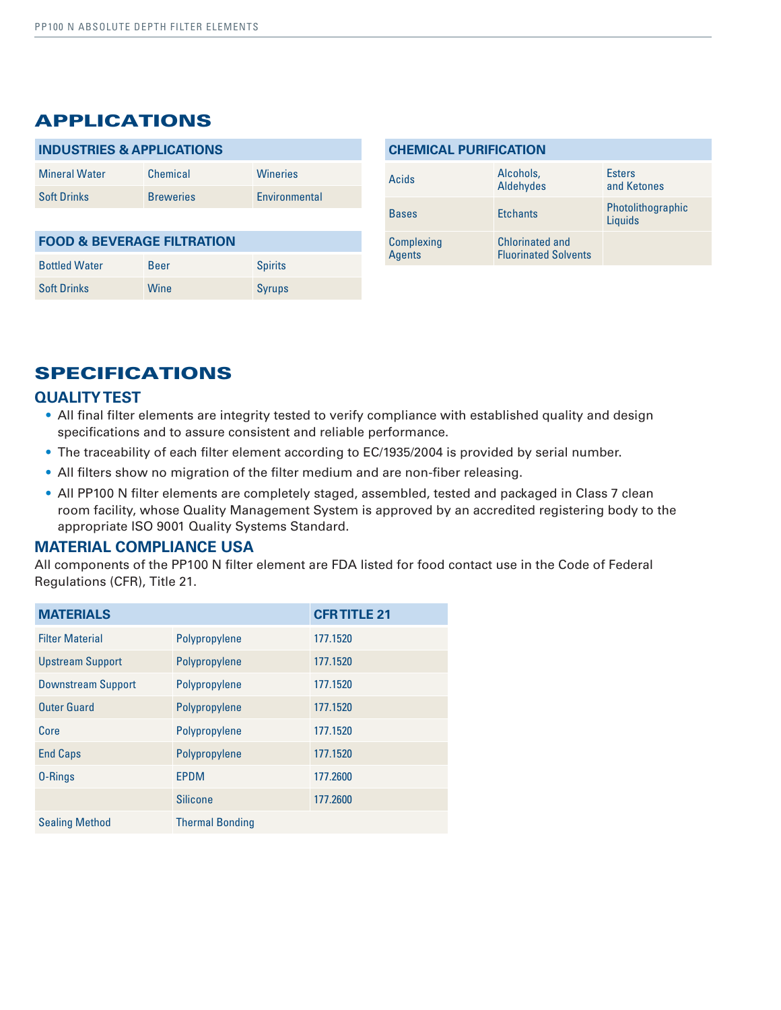### APPLICATIONS

| <b>INDUSTRIES &amp; APPLICATIONS</b>  |                  |                      |  |  |
|---------------------------------------|------------------|----------------------|--|--|
| <b>Mineral Water</b>                  | Chemical         | <b>Wineries</b>      |  |  |
| <b>Soft Drinks</b>                    | <b>Breweries</b> | <b>Fnvironmental</b> |  |  |
|                                       |                  |                      |  |  |
| <b>FOOD &amp; BEVERAGE FILTRATION</b> |                  |                      |  |  |
| <b>Bottled Water</b>                  | Beer             | <b>Spirits</b>       |  |  |

Soft Drinks Wine Syrups

| <b>CHEMICAL PURIFICATION</b>                                                         |                                                        |                              |  |  |
|--------------------------------------------------------------------------------------|--------------------------------------------------------|------------------------------|--|--|
| Acids                                                                                | Alcohols,<br><b>Esters</b><br>Aldehydes<br>and Ketones |                              |  |  |
| <b>Bases</b>                                                                         | <b>Ftchants</b>                                        | Photolithographic<br>Liquids |  |  |
| <b>Chlorinated and</b><br>Complexing<br><b>Agents</b><br><b>Fluorinated Solvents</b> |                                                        |                              |  |  |

## SPECIFICATIONS

#### **QUALITY TEST**

- All final filter elements are integrity tested to verify compliance with established quality and design specifications and to assure consistent and reliable performance.
- The traceability of each filter element according to EC/1935/2004 is provided by serial number.
- All filters show no migration of the filter medium and are non-fiber releasing.
- All PP100 N filter elements are completely staged, assembled, tested and packaged in Class 7 clean room facility, whose Quality Management System is approved by an accredited registering body to the appropriate ISO 9001 Quality Systems Standard.

#### **MATERIAL COMPLIANCE USA**

All components of the PP100 N filter element are FDA listed for food contact use in the Code of Federal Regulations (CFR), Title 21.

| <b>MATERIALS</b>          |                        | <b>CFR TITLE 21</b> |
|---------------------------|------------------------|---------------------|
| <b>Filter Material</b>    | Polypropylene          | 177.1520            |
| <b>Upstream Support</b>   | Polypropylene          | 177.1520            |
| <b>Downstream Support</b> | Polypropylene          | 177.1520            |
| <b>Outer Guard</b>        | Polypropylene          | 177.1520            |
| Core                      | Polypropylene          | 177.1520            |
| <b>End Caps</b>           | Polypropylene          | 177.1520            |
| 0-Rings                   | <b>EPDM</b>            | 177.2600            |
|                           | <b>Silicone</b>        | 177.2600            |
| <b>Sealing Method</b>     | <b>Thermal Bonding</b> |                     |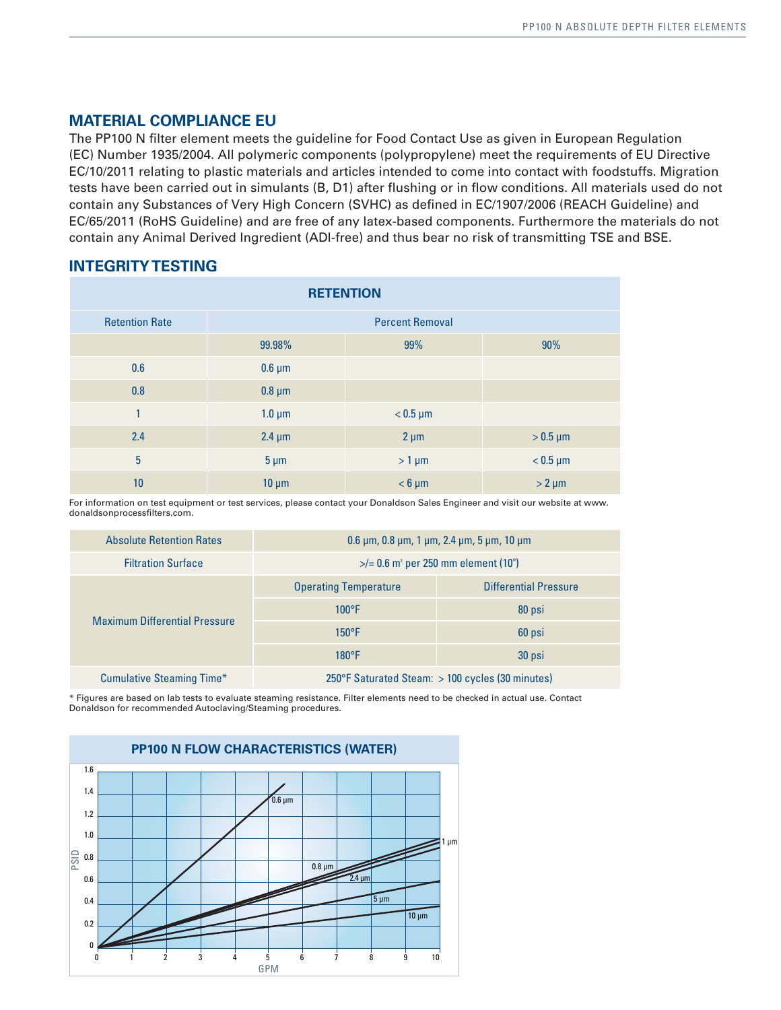### **MATERIAL COMPLIANCE EU**

The PP100 N filter element meets the guideline for Food Contact Use as given in European Regulation (EC) Number 1935/2004. All polymeric components (polypropylene) meet the requirements of EU Directive EC/10/2011 relating to plastic materials and articles intended to come into contact with foodstuffs. Migration tests have been carried out in simulants (B, D1) after flushing or in flow conditions. All materials used do not contain any Substances of Very High Concern (SVHC) as defined in EC/1907/2006 (REACH Guideline) and EC/65/2011 (RoHS Guideline) and are free of any latex-based components. Furthermore the materials do not contain any Animal Derived Ingredient (ADI-free) and thus bear no risk of transmitting TSE and BSE.

#### **INTEGRITY TESTING**

| <b>RETENTION</b>      |                        |               |               |
|-----------------------|------------------------|---------------|---------------|
| <b>Retention Rate</b> | <b>Percent Removal</b> |               |               |
|                       | 99.98%                 | 99%           | 90%           |
| 0.6                   | $0.6 \mu m$            |               |               |
| 0.8                   | $0.8 \mu m$            |               |               |
| 1                     | $1.0 \mu m$            | $< 0.5 \mu m$ |               |
| 2.4                   | $2.4 \mu m$            | $2 \mu m$     | $>0.5 \mu m$  |
| $\overline{5}$        | $5 \mu m$              | $> 1 \mu m$   | $< 0.5 \mu m$ |
| 10                    | $10 \mu m$             | $< 6 \mu m$   | $> 2 \mu m$   |

For information on test equipment or test services, please contact your Donaldson Sales Engineer and visit our website at www. donaldsonprocessfilters.com.

| <b>Absolute Retention Rates</b>      | $0.6 \mu m$ , $0.8 \mu m$ , 1 $\mu m$ , 2.4 $\mu m$ , 5 $\mu m$ , 10 $\mu m$ |                              |  |
|--------------------------------------|------------------------------------------------------------------------------|------------------------------|--|
| <b>Filtration Surface</b>            | $\frac{1}{2}$ = 0.6 m <sup>2</sup> per 250 mm element (10")                  |                              |  |
| <b>Maximum Differential Pressure</b> | <b>Operating Temperature</b>                                                 | <b>Differential Pressure</b> |  |
|                                      | $100^{\circ}$ F                                                              | 80 psi                       |  |
|                                      | $150^{\circ}$ F                                                              | 60 psi                       |  |
|                                      | $180^{\circ}$ F                                                              | 30 psi                       |  |
| <b>Cumulative Steaming Time*</b>     | 250°F Saturated Steam: $>$ 100 cycles (30 minutes)                           |                              |  |

\* Figures are based on lab tests to evaluate steaming resistance. Filter elements need to be checked in actual use. Contact Donaldson for recommended Autoclaving/Steaming procedures.

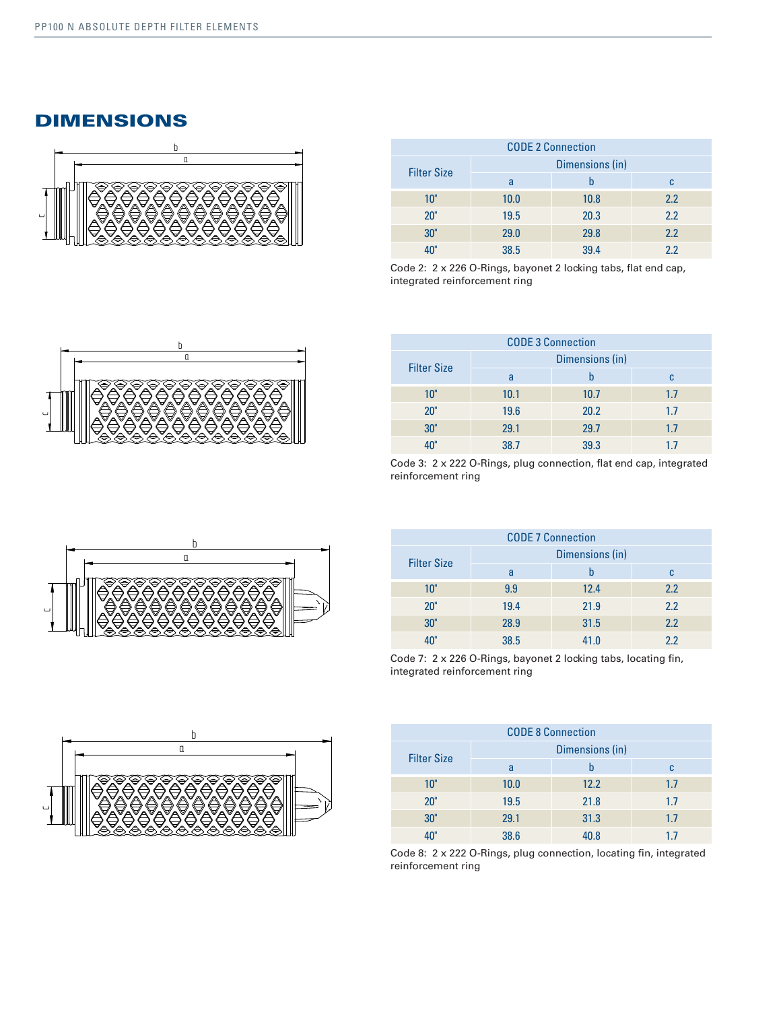### DIMENSIONS



| <b>CODE 2 Connection</b> |                 |      |     |
|--------------------------|-----------------|------|-----|
| <b>Filter Size</b>       | Dimensions (in) |      |     |
|                          | a               |      | C   |
| 10"                      | 10.0            | 10.8 | 2.2 |
| 20"                      | 19.5            | 20.3 | 2.2 |
| 30"                      | 29.0            | 29.8 | 2.2 |
|                          | 38.5            | 39.4 | 22  |

Code 2: 2 x 226 O-Rings, bayonet 2 locking tabs, flat end cap, integrated reinforcement ring



| <b>CODE 3 Connection</b> |                 |      |     |
|--------------------------|-----------------|------|-----|
|                          | Dimensions (in) |      |     |
| <b>Filter Size</b>       | a               |      | c   |
| 10"                      | 10.1            | 10.7 | 1.7 |
| 20"                      | 19.6            | 20.2 | 1.7 |
| 30"                      | 29.1            | 29.7 | 1.7 |
|                          | 38.7            | 39.3 | 17  |

Code 3: 2 x 222 O-Rings, plug connection, flat end cap, integrated reinforcement ring

| <b>CODE 7 Connection</b> |                 |      |     |
|--------------------------|-----------------|------|-----|
| <b>Filter Size</b>       | Dimensions (in) |      |     |
|                          | a               |      | c   |
| 10"                      | 9.9             | 12.4 | 2.2 |
| 20"                      | 19.4            | 21.9 | 2.2 |
| 30"                      | 28.9            | 31.5 | 2.2 |
|                          | 38.5            | 41.0 | 2.2 |

Code 7: 2 x 226 O-Rings, bayonet 2 locking tabs, locating fin, integrated reinforcement ring

| <b>CODE 8 Connection</b> |                 |      |     |
|--------------------------|-----------------|------|-----|
|                          | Dimensions (in) |      |     |
| <b>Filter Size</b>       | a               | b    | C   |
| 10"                      | 10.0            | 12.2 | 1.7 |
| 20"                      | 19.5            | 21.8 | 1.7 |
| 30"                      | 29.1            | 31.3 | 1.7 |
|                          | 38.6            | 40.8 | 17  |

Code 8: 2 x 222 O-Rings, plug connection, locating fin, integrated reinforcement ring



b